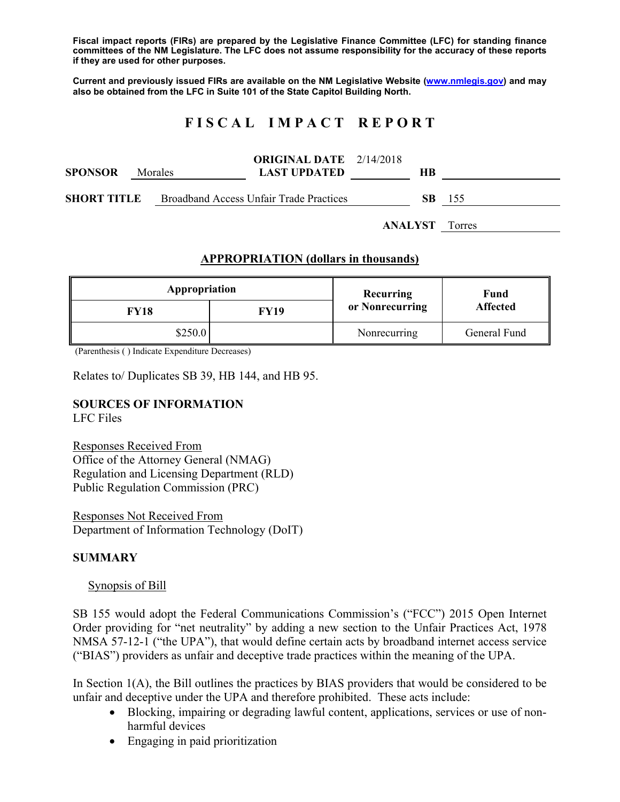**Fiscal impact reports (FIRs) are prepared by the Legislative Finance Committee (LFC) for standing finance committees of the NM Legislature. The LFC does not assume responsibility for the accuracy of these reports if they are used for other purposes.** 

**Current and previously issued FIRs are available on the NM Legislative Website (www.nmlegis.gov) and may also be obtained from the LFC in Suite 101 of the State Capitol Building North.** 

# **F I S C A L I M P A C T R E P O R T**

| <b>SPONSOR</b> | Morales | <b>ORIGINAL DATE</b> 2/14/2018<br><b>LAST UPDATED</b> | HВ |                       |
|----------------|---------|-------------------------------------------------------|----|-----------------------|
| SHORT TITLE    |         | Broadband Access Unfair Trade Practices               |    | <b>SB</b> 155         |
|                |         |                                                       |    | <b>ANALYST</b> Torres |

### **APPROPRIATION (dollars in thousands)**

| Appropriation |             | Recurring       | Fund<br><b>Affected</b> |  |
|---------------|-------------|-----------------|-------------------------|--|
| FY18          | <b>FY19</b> | or Nonrecurring |                         |  |
| \$250.0       |             | Nonrecurring    | General Fund            |  |

(Parenthesis ( ) Indicate Expenditure Decreases)

Relates to/ Duplicates SB 39, HB 144, and HB 95.

#### **SOURCES OF INFORMATION**

LFC Files

Responses Received From Office of the Attorney General (NMAG) Regulation and Licensing Department (RLD) Public Regulation Commission (PRC)

Responses Not Received From Department of Information Technology (DoIT)

#### **SUMMARY**

#### Synopsis of Bill

SB 155 would adopt the Federal Communications Commission's ("FCC") 2015 Open Internet Order providing for "net neutrality" by adding a new section to the Unfair Practices Act, 1978 NMSA 57-12-1 ("the UPA"), that would define certain acts by broadband internet access service ("BIAS") providers as unfair and deceptive trade practices within the meaning of the UPA.

In Section  $1(A)$ , the Bill outlines the practices by BIAS providers that would be considered to be unfair and deceptive under the UPA and therefore prohibited. These acts include:

- Blocking, impairing or degrading lawful content, applications, services or use of nonharmful devices
- Engaging in paid prioritization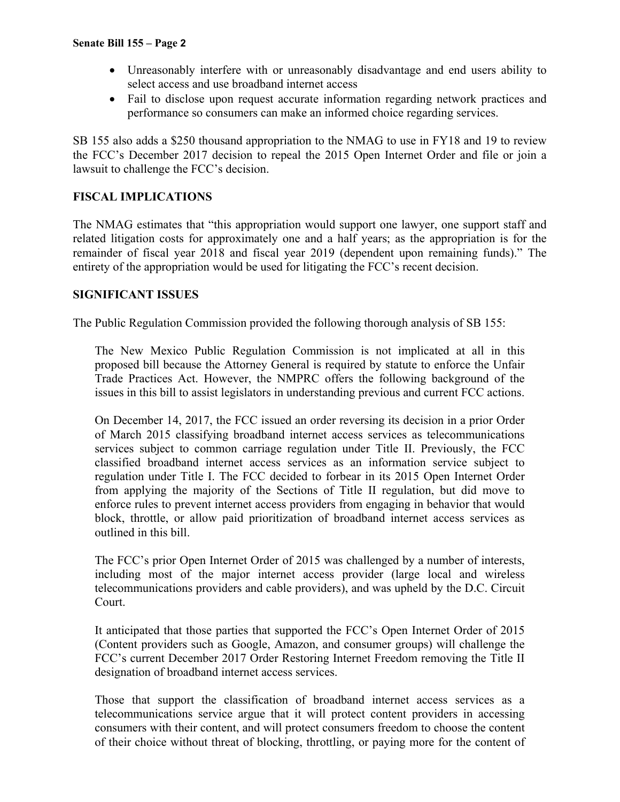- Unreasonably interfere with or unreasonably disadvantage and end users ability to select access and use broadband internet access
- Fail to disclose upon request accurate information regarding network practices and performance so consumers can make an informed choice regarding services.

SB 155 also adds a \$250 thousand appropriation to the NMAG to use in FY18 and 19 to review the FCC's December 2017 decision to repeal the 2015 Open Internet Order and file or join a lawsuit to challenge the FCC's decision.

## **FISCAL IMPLICATIONS**

The NMAG estimates that "this appropriation would support one lawyer, one support staff and related litigation costs for approximately one and a half years; as the appropriation is for the remainder of fiscal year 2018 and fiscal year 2019 (dependent upon remaining funds)." The entirety of the appropriation would be used for litigating the FCC's recent decision.

### **SIGNIFICANT ISSUES**

The Public Regulation Commission provided the following thorough analysis of SB 155:

The New Mexico Public Regulation Commission is not implicated at all in this proposed bill because the Attorney General is required by statute to enforce the Unfair Trade Practices Act. However, the NMPRC offers the following background of the issues in this bill to assist legislators in understanding previous and current FCC actions.

On December 14, 2017, the FCC issued an order reversing its decision in a prior Order of March 2015 classifying broadband internet access services as telecommunications services subject to common carriage regulation under Title II. Previously, the FCC classified broadband internet access services as an information service subject to regulation under Title I. The FCC decided to forbear in its 2015 Open Internet Order from applying the majority of the Sections of Title II regulation, but did move to enforce rules to prevent internet access providers from engaging in behavior that would block, throttle, or allow paid prioritization of broadband internet access services as outlined in this bill.

The FCC's prior Open Internet Order of 2015 was challenged by a number of interests, including most of the major internet access provider (large local and wireless telecommunications providers and cable providers), and was upheld by the D.C. Circuit Court.

It anticipated that those parties that supported the FCC's Open Internet Order of 2015 (Content providers such as Google, Amazon, and consumer groups) will challenge the FCC's current December 2017 Order Restoring Internet Freedom removing the Title II designation of broadband internet access services.

Those that support the classification of broadband internet access services as a telecommunications service argue that it will protect content providers in accessing consumers with their content, and will protect consumers freedom to choose the content of their choice without threat of blocking, throttling, or paying more for the content of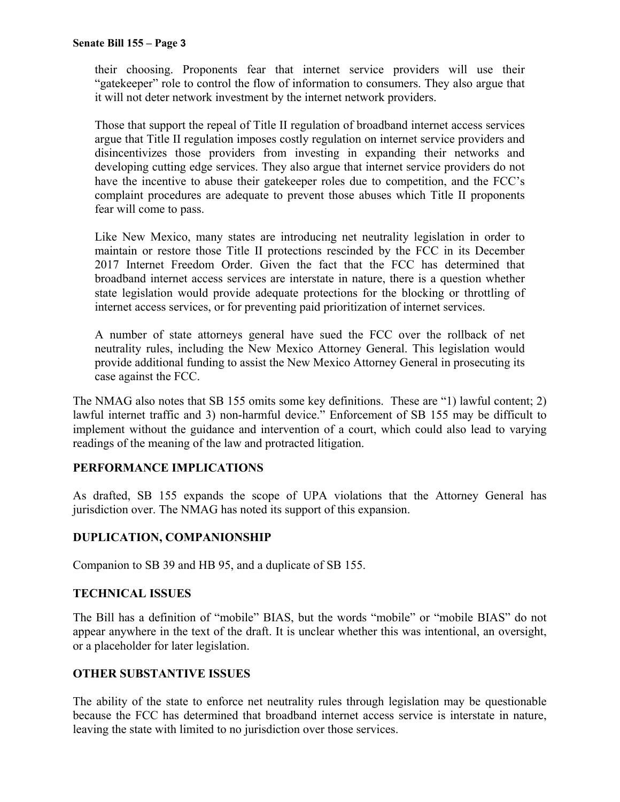their choosing. Proponents fear that internet service providers will use their "gatekeeper" role to control the flow of information to consumers. They also argue that it will not deter network investment by the internet network providers.

Those that support the repeal of Title II regulation of broadband internet access services argue that Title II regulation imposes costly regulation on internet service providers and disincentivizes those providers from investing in expanding their networks and developing cutting edge services. They also argue that internet service providers do not have the incentive to abuse their gatekeeper roles due to competition, and the FCC's complaint procedures are adequate to prevent those abuses which Title II proponents fear will come to pass.

Like New Mexico, many states are introducing net neutrality legislation in order to maintain or restore those Title II protections rescinded by the FCC in its December 2017 Internet Freedom Order. Given the fact that the FCC has determined that broadband internet access services are interstate in nature, there is a question whether state legislation would provide adequate protections for the blocking or throttling of internet access services, or for preventing paid prioritization of internet services.

A number of state attorneys general have sued the FCC over the rollback of net neutrality rules, including the New Mexico Attorney General. This legislation would provide additional funding to assist the New Mexico Attorney General in prosecuting its case against the FCC.

The NMAG also notes that SB 155 omits some key definitions. These are "1) lawful content; 2) lawful internet traffic and 3) non-harmful device." Enforcement of SB 155 may be difficult to implement without the guidance and intervention of a court, which could also lead to varying readings of the meaning of the law and protracted litigation.

## **PERFORMANCE IMPLICATIONS**

As drafted, SB 155 expands the scope of UPA violations that the Attorney General has jurisdiction over. The NMAG has noted its support of this expansion.

## **DUPLICATION, COMPANIONSHIP**

Companion to SB 39 and HB 95, and a duplicate of SB 155.

### **TECHNICAL ISSUES**

The Bill has a definition of "mobile" BIAS, but the words "mobile" or "mobile BIAS" do not appear anywhere in the text of the draft. It is unclear whether this was intentional, an oversight, or a placeholder for later legislation.

### **OTHER SUBSTANTIVE ISSUES**

The ability of the state to enforce net neutrality rules through legislation may be questionable because the FCC has determined that broadband internet access service is interstate in nature, leaving the state with limited to no jurisdiction over those services.